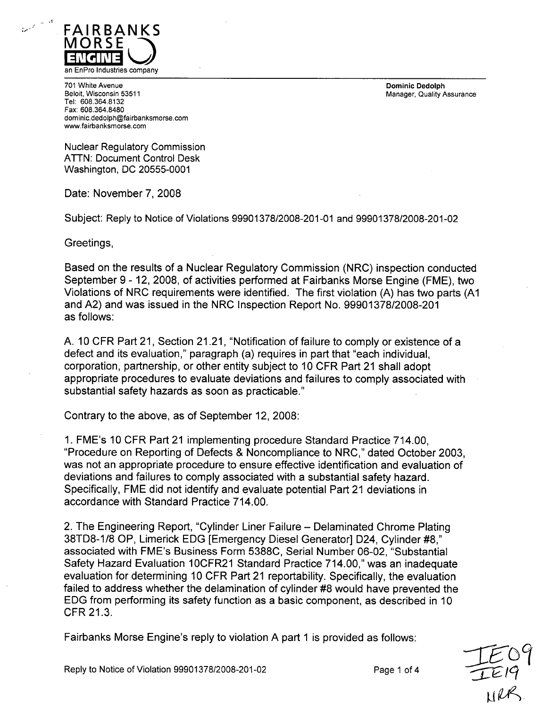

701 White Avenue Dominic Dedolph Tel: 608.364.8132 Fax: 608.364.8480 dominic.dedolph@fairbanksmorse.com www.fairbanksmorse.com

Manager, Quality Assurance

Nuclear Regulatory Commission ATTN: Document Control Desk Washington, DC 20555-0001

Date: November 7, 2008

Subject: Reply to Notice of Violations 99901378/2008-201-01 and 99901378/2008-201-02

Greetings,

Based on the results of a Nuclear Regulatory Commission (NRC) inspection conducted September 9 - 12, 2008, of activities performed at Fairbanks Morse Engine (FME), two Violations of NRC requirements were identified. The first violation (A) has two parts **(Al** and A2) and was issued in the NRC Inspection Report No. 99901378/2008-201 as follows:

A. 10 CFR Part 21, Section 21.21, "Notification of failure to comply or existence of a defect and its evaluation," paragraph (a) requires in part that "each individual, corporation, partnership, or other entity subject to 10 CFR Part 21 shall adopt appropriate procedures to evaluate deviations and failures to comply associated with substantial safety hazards as soon as practicable."

Contrary to the above, as of September 12, 2008:

1. FME's 10 CFR Part 21 implementing procedure Standard Practice 714.00, "Procedure on Reporting of Defects & Noncompliance to NRC," dated October 2003, was not an appropriate procedure to ensure effective identification and evaluation of deviations and failures to comply associated with a substantial safety hazard. Specifically, FME did not identify and evaluate potential Part 21 deviations in accordance with Standard Practice 714.00.

2. The Engineering Report, "Cylinder Liner Failure - Delaminated Chrome Plating 38TD8-1/8 OP, Limerick EDG [Emergency Diesel Generator] D24, Cylinder #8," associated with FME's Business Form 5388C, Serial Number 06-02, "Substantial Safety Hazard Evaluation 10CFR21 Standard Practice 714.00," was an inadequate evaluation for determining 10 CFR Part 21 reportability. Specifically, the evaluation failed to address whether the delamination of cylinder #8 would have prevented the EDG from performing its safety function as a basic component, as described in 10 CFR 21.3.

Fairbanks Morse Engine's reply to violation A part **1** is provided as follows: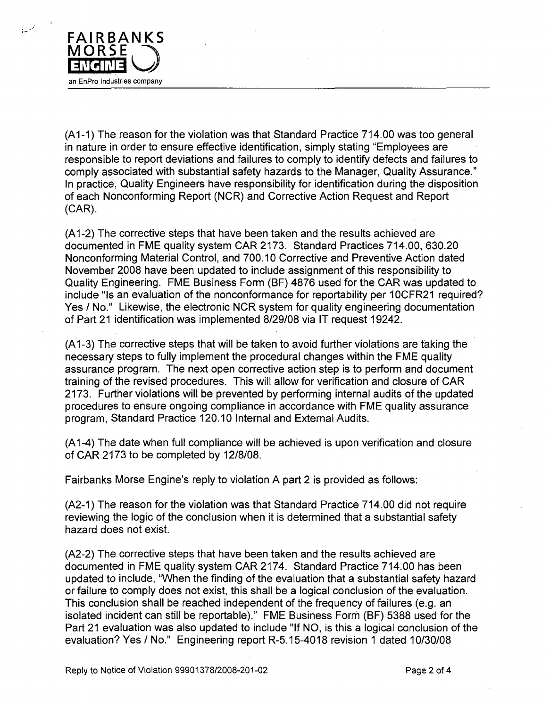

**(Al-1)** The reason for the violation was that Standard Practice 714.00 was too general in nature in order to ensure effective identification, simply stating "Employees are responsible to report deviations and failures to comply to identify defects and failures to comply associated with substantial safety hazards to the Manager, Quality Assurance." In practice, Quality Engineers have responsibility for identification during the disposition of each Nonconforming Report (NCR) and Corrective Action Request and Report (CAR).

(A1-2) The corrective steps that have been taken and the results achieved are documented in FME quality system CAR 2173. Standard Practices 714.00, 630.20 Nonconforming Material Control, and 700.10 Corrective and Preventive Action dated November 2008 have been updated to include assignment of this responsibility to Quality Engineering. FME Business Form (BF) 4876 used for the CAR was updated to include "Is an evaluation of the nonconformance for reportability per 10CFR21 required? Yes / No." Likewise, the electronic NCR system for quality engineering documentation of Part 21 identification was implemented 8/29/08 via IT request 19242.

**(Al** -3) The corrective steps that will be taken to avoid further violations are taking the necessary steps to fully implement the procedural changes within the FME quality assurance program. The next open corrective action step is to perform and document training of the revised procedures. This will allow for verification and closure of CAR 2173. Further violations will be prevented by performing internal audits of the updated procedures to ensure ongoing compliance in accordance with FME quality assurance program, Standard Practice 120.10 Internal and External Audits.

(A1-4) The date when full compliance will be achieved is upon verification and closure of CAR 2173 to be completed by 12/8/08.

Fairbanks Morse Engine's reply to violation A part 2 is provided as follows:

(A2-1) The reason for the violation was that Standard Practice 714.00 did not require reviewing the logic of the conclusion when it is determined that a substantial safety hazard does not exist.

(A2-2) The corrective steps that have been taken and the results achieved are documented in FME quality system CAR 2174. Standard Practice 714.00 has been updated to include, "When the finding of the evaluation that a substantial safety hazard or failure to comply does not exist, this shall be a logical conclusion of the evaluation. This conclusion shall be reached independent of the frequency of failures (e.g. an isolated incident can still be reportable)." FME Business Form (BF) 5388 used for the Part 21 evaluation was also updated to include "If NO, is this a logical conclusion of the evaluation? Yes / No." Engineering report R-5.15-4018 revision 1 dated 10/30/08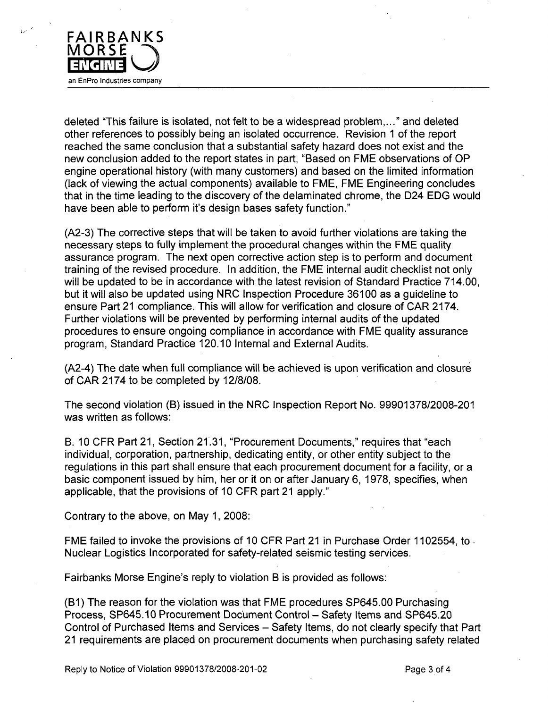

deleted "This failure is isolated, not felt to be a widespread problem,..." and deleted other references to possibly being an isolated occurrence. Revision **1** of the report reached the same conclusion that a substantial safety hazard does not exist and the new conclusion added to the report states in part, "Based on FME observations of OP engine operational history (with many customers) and based on the limited information (lack of viewing the actual components) available to FME, FME Engineering concludes that in the time leading to the discovery of the delaminated chrome, the D24 EDG would have been able to perform it's design bases safety function."

(A2-3) The corrective steps that will be taken to avoid further violations are taking the necessary steps to fully implement the procedural changes within the FME quality assurance program. The next open corrective action step is to perform and document training of the revised procedure. In addition, the FME internal audit checklist not only will be updated to be in accordance with the latest revision of Standard Practice 714.00, but it will also be updated using NRC Inspection Procedure 36100 as a guideline to ensure Part 21 compliance. This will allow for verification and closure of CAR 2174. Further violations will be prevented by performing internal audits of the updated procedures to ensure ongoing compliance in accordance with FME quality assurance program, Standard Practice 120.10 Internal and External Audits.

(A2-4) The date when full compliance will be achieved is upon verification and closure of CAR 2174 to be completed by 12/8/08.

The second violation (B) issued in the NRC Inspection Report No. 99901378/2008-201 was written as follows:

B. 10 CFR Part 21, Section 21.31, "Procurement Documents," requires that "each individual, corporation, partnership, dedicating entity, or other entity subject to the regulations in this part shall ensure that each procurement document for a facility, or a basic component issued by him, her or it on or after January 6, 1978, specifies, when applicable, that the provisions of 10 CFR part 21 apply."

Contrary to the above, on May 1, 2008:

FME failed to invoke the provisions of 10 CFR Part 21 in Purchase Order 1102554, to Nuclear Logistics Incorporated for safety-related seismic testing services.

Fairbanks Morse Engine's reply to violation B is provided as follows:

(B1) The reason for the violation was that FME procedures SP645.00 Purchasing Process, SP645.10 Procurement Document Control - Safety Items and SP645.20 Control of Purchased Items and Services – Safety Items, do not clearly specify that Part 21 requirements are placed on procurement documents when purchasing safety related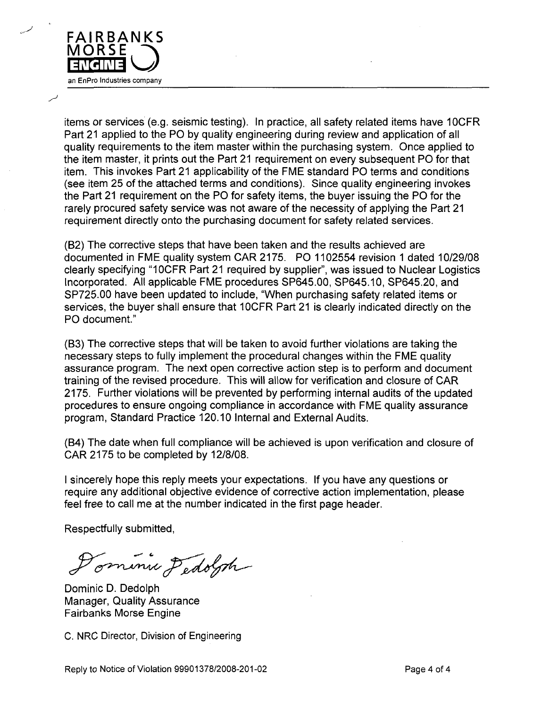

items or services (e.g. seismic testing). In practice, all safety related items have 10CFR Part 21 applied to the PO by quality engineering during review and application of all quality requirements to the item master within the purchasing system. Once applied to the item master, it prints out the Part 21 requirement on every subsequent PO for that item. This invokes Part 21 applicability of the FME standard PO terms and conditions (see item 25 of the attached terms and conditions). Since quality engineering invokes the Part 21 requirement on the PO for safety items, the buyer issuing the PO for the rarely procured safety service was not aware of the necessity of applying the Part 21 requirement directly onto the purchasing document for safety related services.

(B2) The corrective steps that have been taken and the results achieved are documented in FME quality system CAR 2175. PO 1102554 revision 1 dated 10/29/08 clearly specifying "10CFR Part 21 required by supplier", was issued to Nuclear Logistics Incorporated. All applicable FME procedures SP645.00, SP645.10, SP645.20, and SP725.00 have been updated to include, "When purchasing safety related items or services, the buyer shall ensure that 10CFR Part 21 is clearly indicated directly on the PO document."

(B3) The corrective steps that will be taken to avoid further violations are taking the necessary steps to fully implement the procedural changes within the FME quality assurance program. The next open corrective action step is to perform and document training of the revised procedure. This will allow for verification and closure of CAR 2175. Further violations will be prevented by performing internal audits of the updated procedures to ensure ongoing compliance in accordance with FME quality assurance program, Standard Practice 120.10 Internal and External Audits.

(B4) The date when full compliance will be achieved is upon verification and closure of CAR 2175 to be completed by 12/8/08.

I sincerely hope this reply meets your expectations. If you have any questions or require any additional objective evidence of corrective action implementation, please feel free to call me at the number indicated in the first page header.

Respectfully submitted,

ominie Dedolph

Dominic D. Dedolph Manager, Quality Assurance Fairbanks Morse Engine

C. NRC Director, Division of Engineering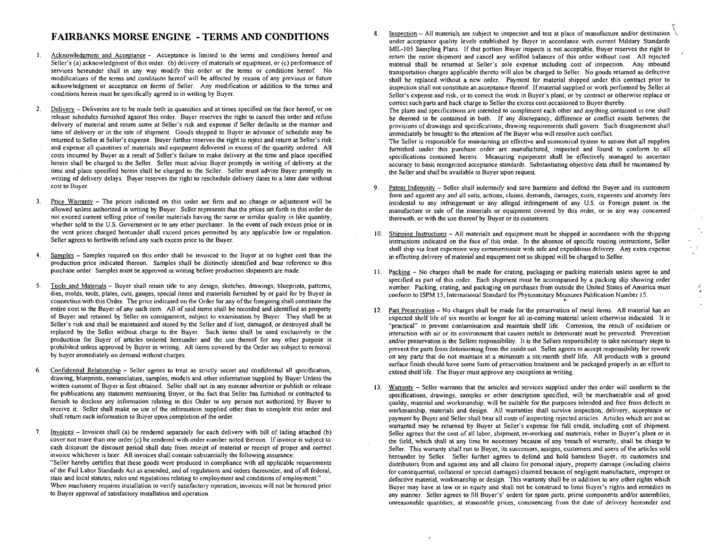## FAIRBANKS MORSE **ENGINE** - TERMS **AND CONDITIONS**

- Acknowledgment and Acceptance Acceptance is limited to the terms and conditions hereof and  $\mathbf{1}$ . Seller's (a) acknowledgment of this order. (b) delivery of materials or equipment, or (c) performance of services hereunder shall in any way modify this order or the terms or conditions hereof No modifications of the terms and conditions hereof will be affected by reason of any previous or future acknowledgment or acceptance on forms of Seller. Any modification or addition to the terms and conditions herein must be specifically agreed to in writing by Buyer.
- 2. Delivery Deliveries are to be made both in quantities and at times specified on the face hereof, or on release schedules furnished against this order. Buyer reserves the right to cancel this order and refuse delivery of material and return same at Seller's risk and expense if Seller defaults in the manner and time of delivery or in the rate of shipment. Goods shipped to Buyer in advance of schedule may be returned to Seller at Seller's expense. Buyer further reserves the right to reject and return at Seller's risk and expense all quantities of materials and equipment delivered in excess of the quantity ordered. All costs incurred by Buyer as a result of Seller's failure to make delivery at the time and place specified herein shall be charged to the Seller. Seller must advise Buyer promptly in writing of delivery at the time and place specified herein shall be charged to the Seller. Seller must advise Buyer promptly in writing of delivery delays. Buyer reserves the right to reschedule delivery dates to a later date without cost to Buyer.
- **3.** Price Warranty The prices indicated on this order are firm and no change or adjustment will be allowed unless authorized in writing by Buyer. Seller represents that the prices set forth in this order do not exceed current selling price of similar materials having the same or similar quality.in like quantity, whether sold to the U.S. Government or to any other purchaser. In the event of such excess price or in the vent prices charged hereunder shall exceed prices permitted by any applicable law or regulation. Seller agrees to forthwith refund any such excess price to the Buyer.
- 4. Samples Samples required on this order shall be invoiced to the Buyer at no higher cost than the production price indicated thereon. Samples shall be distinctly identified and bear reference to this purchase order. Samples must be approved in writing before production shipments are made.
- **5.** Tools and Materials **-** Buyer shall retain title to any design, sketches, drawings, blueprints, patterns, dies, molds, tools, plates, cuts, gauges, special items and materials furnished by or paid for by Buyer in connection with this Order. The price indicated on the Order for any of the foregoing shall constitute the entire cost to the Buyer of any such item. All of said items shall be recorded and identified as property of Buyer and retained by Seller on consignment, subject to examination by Buyer. They shall be at Seller's risk and shall be maintained and stored by the Seller and if lost, damaged, or destroyed shall be replaced by the Seller without charge to the Buyer. Such items shall be used exclusively in the production for Buyer of articles ordered hereunder and the use thereof for any other purpose is prohibited unless approved by Buyer in writing. All items covered by the Order are subject to removal by buyer immediately on demand without charges.
- **6.** Confidential Relationship Seller agrees to treat as strictly secret and confidential all specification, drawing, blueprints, nomenclature, samples, models and other information supplied by Buyer Unless the written consent of Buyer is first obtained. Seller shall not in any manner advertise or publish or release for publications any statement mentioning Buyer, or the fact that Seller has furnished or contracted to furnish to disclose any information relating to this Order to any person not authorized by Buyer to receive it. Seller shall make no use of the information supplied other than to complete this order and shall return such information to Buyer upon completion of the order.
- **7.** Invoices Invoices shall (a) be rendered separately for each delivery with bill of lading attached (b) cover not more than one order (c) be rendered with order number noted thereon. If invoice is subject to cash discount the discount period shall date from receipt of material or receipt of proper and correct invoice whichever is later. All invoices shall contain substantially the following assurance: "Seller hereby certifies that these goods were produced in compliance with all applicable requirements of the Fail Labor Standards Act as amended, and of regulations and orders thereunder, and of all federal, state and local statutes, rules and regulations relating to employment and conditions of employment." When machinery requires installation to verify satisfactory operation, invoices will not be honored prior to Buyer approval of satisfactory installation and operation.

**g.** Inspection - All materials are subject to inspection and test at place of manufacture and/or destination o  $Inspection - All materials are subject to inspection and test at place of manufacture and/or destination.$ </u> under acceptance quality levels established by Buyer in accordance with current Military Standards MIL-105 Sampling Plans. If that portion Buyer inspects is not acceptable, Buyer reserves the right to return the entire shipment and cancel any unfilled balances of this order without cost. All rejected material shall be returned at Seller's sole expense including cost of inspection. Any inbound transportation charges applicable thereto will also be charged to Seller. No goods returned as defective shall be replaced without a new order. Payment for material shipped under this contract prior to inspection shall not constitute an acceptance thereof. If material supplied or work performed by Seller at Seller's expense and risk, or to correct the work in Buyer's plant, or by contract or otherwise replace or correct such parts and back charge to Seller the excess cost occasioned to Buyer thereby.

The plans and specifications are intended to compliment each other and anything contained in one shall be deemed to be contained in both. If any discrepancy, difference or conflict exists between the provisions of drawings and specifications, drawing requirements shall govern. Such disagreement shall immediately be brought to the attention of the Buyer who will resolve such conflict.

The Seller is responsible for maintaining an effective and economical system to assure that all supplies furnished under this purchase order are manufactured, inspected and found to conform to all specifications contained herein. Measuring equipment shall be effectively managed to ascertain accuracy to basic recognized acceptance standards. Substantiating objective data shall be maintained by the Seller and shall be available to Buyer upon request.

- 9. Patent Indemnity Seller shall indemnify and save harmless and defend the Buyer and its customers Patent Indemnity - Seller shall indemnify and save harmless and defend the Buyer and its custome from and against any and all suits, actions, claims, demands, damages, costs, expenses and attorney fees incidental to any infringement or any alleged infringement of any U.S. or Foreign patent in the manufacture or sale of the materials or equipment covered by this order, or in any way concerned therewith, or with the use thereof by Buyer or its customers.
- 10. Shipping Instructions All materials and equipment must be shipped in accordance with the shipping Shipping Instructions - All materials and equipment must be shipped in accordance with the shipping instructions indicated on the face of this order. In the absence of specific routing instructions, Seller shall ship via least expensive way commensurate with safe and expeditious delivery. Any extra expense in effecting delivery of material and equipment not so shipped will be charged to Seller.

 $\epsilon$  ,  $\epsilon'$ 

 $\mathbf{z}$ 

- 11. Packing No charges shall be made for crating, packaging or packaging materials unless agree to and pack Packing  $-$  No charges shall be made for crating, packaging or packing materials unless agree to an specified as part of this order. Each shipment must be accompanied by a packing slip showing order number. Packing, crating, and packaging on purchases from outside the United States of America must conform to ISPM 15, International Standard for Phytosanitary Measures Publication Number 15.
- 12. Part Preservation No charges shall be made for the preservation of metal items. All material has an Part Preservation - No charges shall be made for the preservation of metal items. All material has a expected shelf life of six months or longer for all in-coming material unless otherwise indicated. It is "practical" to prevent contamination and maintain shelf life. Corrosion, the result of oxidation or interaction with air or its environment that causes metals to deteriorate must be prevented. Prevention and/or preservation is the Sellers responsibility. It is the Sellers responsibility to take necessary steps to prevent the parts from deteriorating from the inside out. Seller agrees to accept responsibility for rework on any parts that do not maintain at a minimum a six-month shelf life. All products with a ground surface finish should have some form of preservation treatment and be packaged properly in an effort to extend shelf life. The Buyer must approve any exceptions in writing.
- 13. Warranty **-** Seller warrants that the articles and services supplied under this order will conform to the Warranty - Seller warrants that the articles and services supplied under this order will conform to the specifications, drawings, samples or other description specified, will be merchantable and of good quality, material and workmanship, will be suitable for the purposes intended and free from defects in workmanship, materials and design. All warranties shall survive inspection, delivery, acceptance or payment by Buyer and Seller shall bear all costs of inspecting rejected articles. Articles which are not as warranted may be returned by Buyer at Seller's expense for full credit, including cost of shipment. Seller agrees that the cost of all labor, shipment, re-working and materials, either in Buyer's plant or in the field, which shall at any time be necessary because of any breach of warranty, shall be charge to Seller. This warranty shall run to Buyer, its successors, assigns, customers and users of the articles sold hereunder by Seller. Seller further agrees to defend and hold harmless Buyer, its customers and distributors from and against any and all claims for personal injury, property damage (including claims for consequential, collateral or special damages) claimed because of negligent manufacture, improper or defective material, workmanship or design. This warranty shall be in addition to any other rights which Buyer may have at law or in equity and shall not be construed to limit Buyer's rights and remedies in any manner. Seller agrees to fill Buyer's' orders for spare parts, prime components and/or assemblies, unreasonable quantities, at reasonable prices, commencing from the date of delivery hereunder and